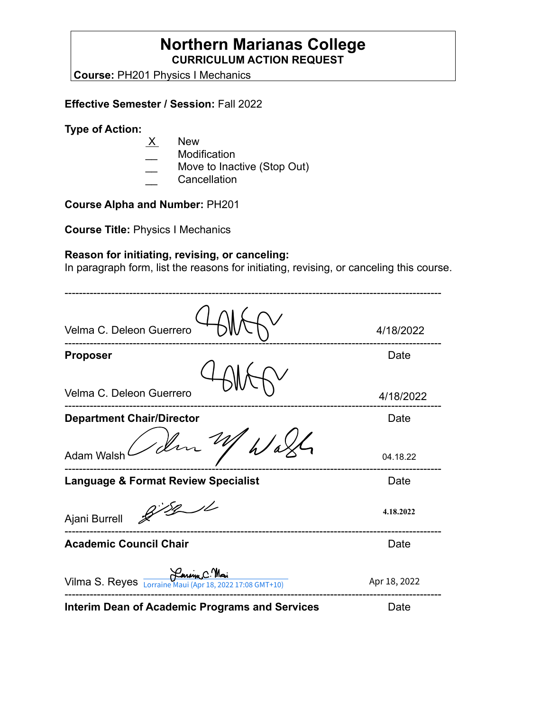# **Northern Marianas College CURRICULUM ACTION REQUEST**

**Course:** PH201 Physics I Mechanics

## **Effective Semester / Session:** Fall 2022

#### **Type of Action:**

- $X$  New
- **Modification**
- Move to Inactive (Stop Out)
- **Cancellation**

# **Course Alpha and Number:** PH201

**Course Title:** Physics I Mechanics

# **Reason for initiating, revising, or canceling:**

In paragraph form, list the reasons for initiating, revising, or canceling this course.

| Velma C. Deleon Guerrero                                 | 4/18/2022    |
|----------------------------------------------------------|--------------|
| <b>Proposer</b>                                          | Date         |
| Velma C. Deleon Guerrero                                 | 4/18/2022    |
| <b>Department Chair/Director</b>                         | Date         |
| 1 der<br>Adam Walsl                                      | 04.18.22     |
| <b>Language &amp; Format Review Specialist</b>           | Date         |
| Ajani Burrell                                            | 4.18.2022    |
| <b>Academic Council Chair</b>                            | Date         |
| Vilma S. Reyes Lorraine Maui (Apr 18, 2022 17:08 GMT+10) | Apr 18, 2022 |
| <b>Interim Dean of Academic Programs and Services</b>    | Date         |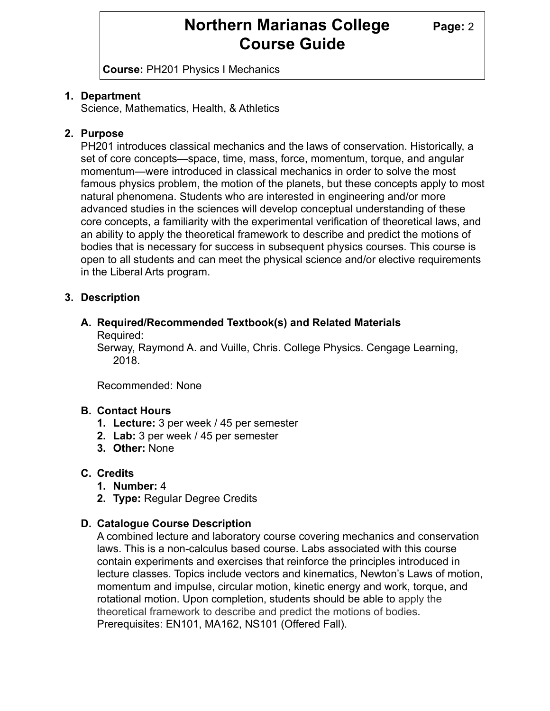# **Northern Marianas College Page: 2 Course Guide**

**Course:** PH201 Physics I Mechanics

# **1. Department**

Science, Mathematics, Health, & Athletics

# **2. Purpose**

PH201 introduces classical mechanics and the laws of conservation. Historically, a set of core concepts—space, time, mass, force, momentum, torque, and angular momentum—were introduced in classical mechanics in order to solve the most famous physics problem, the motion of the planets, but these concepts apply to most natural phenomena. Students who are interested in engineering and/or more advanced studies in the sciences will develop conceptual understanding of these core concepts, a familiarity with the experimental verification of theoretical laws, and an ability to apply the theoretical framework to describe and predict the motions of bodies that is necessary for success in subsequent physics courses. This course is open to all students and can meet the physical science and/or elective requirements in the Liberal Arts program.

## **3. Description**

#### **A. Required/Recommended Textbook(s) and Related Materials** Required:

Serway, Raymond A. and Vuille, Chris. College Physics. Cengage Learning, 2018.

Recommended: None

## **B. Contact Hours**

- **1. Lecture:** 3 per week / 45 per semester
- **2. Lab:** 3 per week / 45 per semester
- **3. Other:** None

# **C. Credits**

- **1. Number:** 4
- **2. Type:** Regular Degree Credits

## **D. Catalogue Course Description**

A combined lecture and laboratory course covering mechanics and conservation laws. This is a non-calculus based course. Labs associated with this course contain experiments and exercises that reinforce the principles introduced in lecture classes. Topics include vectors and kinematics, Newton's Laws of motion, momentum and impulse, circular motion, kinetic energy and work, torque, and rotational motion. Upon completion, students should be able to apply the theoretical framework to describe and predict the motions of bodies. Prerequisites: EN101, MA162, NS101 (Offered Fall).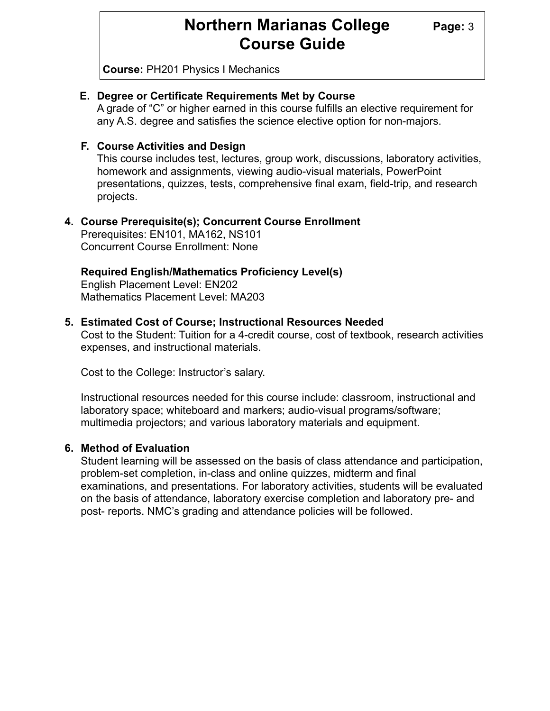# **Northern Marianas College** Page: 3 **Course Guide**

**Course:** PH201 Physics I Mechanics

# **E. Degree or Certificate Requirements Met by Course**

A grade of "C" or higher earned in this course fulfills an elective requirement for any A.S. degree and satisfies the science elective option for non-majors.

## **F. Course Activities and Design**

This course includes test, lectures, group work, discussions, laboratory activities, homework and assignments, viewing audio-visual materials, PowerPoint presentations, quizzes, tests, comprehensive final exam, field-trip, and research projects.

# **4. Course Prerequisite(s); Concurrent Course Enrollment**

Prerequisites: EN101, MA162, NS101 Concurrent Course Enrollment: None

# **Required English/Mathematics Proficiency Level(s)**

English Placement Level: EN202 Mathematics Placement Level: MA203

## **5. Estimated Cost of Course; Instructional Resources Needed**

Cost to the Student: Tuition for a 4-credit course, cost of textbook, research activities expenses, and instructional materials.

Cost to the College: Instructor's salary.

Instructional resources needed for this course include: classroom, instructional and laboratory space; whiteboard and markers; audio-visual programs/software; multimedia projectors; and various laboratory materials and equipment.

## **6. Method of Evaluation**

Student learning will be assessed on the basis of class attendance and participation, problem-set completion, in-class and online quizzes, midterm and final examinations, and presentations. For laboratory activities, students will be evaluated on the basis of attendance, laboratory exercise completion and laboratory pre- and post- reports. NMC's grading and attendance policies will be followed.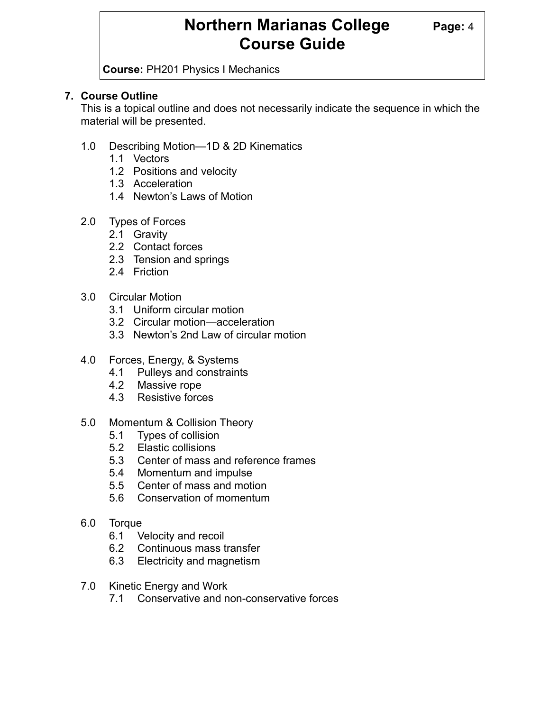# **Northern Marianas College** Page: 4 **Course Guide**

**Course:** PH201 Physics I Mechanics

# **7. Course Outline**

This is a topical outline and does not necessarily indicate the sequence in which the material will be presented.

- 1.0 Describing Motion—1D & 2D Kinematics
	- 1.1 Vectors
	- 1.2 Positions and velocity
	- 1.3 Acceleration
	- 1.4 Newton's Laws of Motion
- 2.0 Types of Forces
	- 2.1 Gravity
	- 2.2 Contact forces
	- 2.3 Tension and springs
	- 2.4 Friction
- 3.0 Circular Motion
	- 3.1 Uniform circular motion
	- 3.2 Circular motion—acceleration
	- 3.3 Newton's 2nd Law of circular motion
- 4.0 Forces, Energy, & Systems
	- 4.1 Pulleys and constraints
	- 4.2 Massive rope
	- 4.3 Resistive forces
- 5.0 Momentum & Collision Theory
	- 5.1 Types of collision
	- 5.2 Elastic collisions
	- 5.3 Center of mass and reference frames
	- 5.4 Momentum and impulse
	- 5.5 Center of mass and motion
	- 5.6 Conservation of momentum
- 6.0 Torque
	- 6.1 Velocity and recoil
	- 6.2 Continuous mass transfer
	- 6.3 Electricity and magnetism
- 7.0 Kinetic Energy and Work
	- 7.1 Conservative and non-conservative forces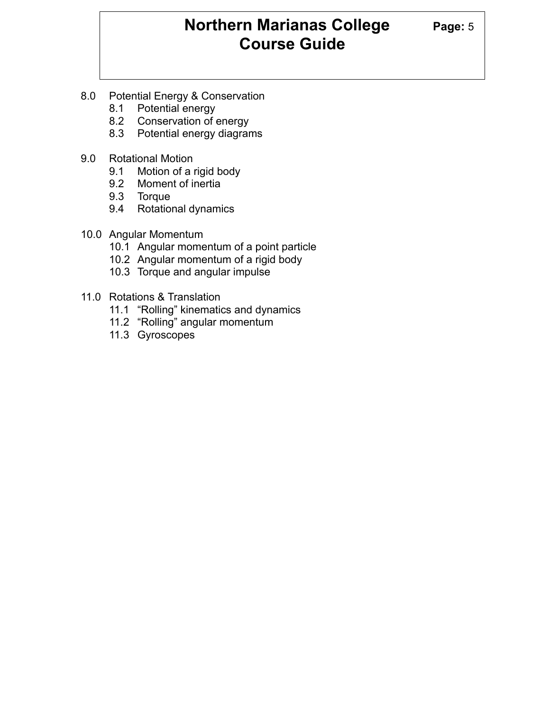# **Northern Marianas College Page: 5 Course Guide**

- 8.0 Potential Energy & Conservation
	- 8.1 Potential energy
	- 8.2 Conservation of energy
	- 8.3 Potential energy diagrams
- 9.0 Rotational Motion
	- 9.1 Motion of a rigid body
	- 9.2 Moment of inertia
	- 9.3 Torque
	- 9.4 Rotational dynamics
- 10.0 Angular Momentum
	- 10.1 Angular momentum of a point particle
	- 10.2 Angular momentum of a rigid body
	- 10.3 Torque and angular impulse
- 11.0 Rotations & Translation
	- 11.1 "Rolling" kinematics and dynamics
	- 11.2 "Rolling" angular momentum
	- 11.3 Gyroscopes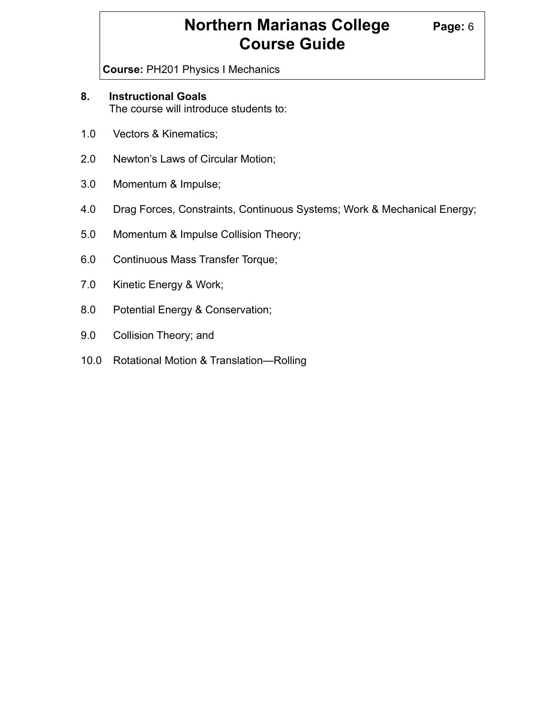# **Northern Marianas College Page: 6 Course Guide**

**Course:** PH201 Physics I Mechanics

# **8. Instructional Goals**

The course will introduce students to:

- 1.0 Vectors & Kinematics;
- 2.0 Newton's Laws of Circular Motion;
- 3.0 Momentum & Impulse;
- 4.0 Drag Forces, Constraints, Continuous Systems; Work & Mechanical Energy;
- 5.0 Momentum & Impulse Collision Theory;
- 6.0 Continuous Mass Transfer Torque;
- 7.0 Kinetic Energy & Work;
- 8.0 Potential Energy & Conservation;
- 9.0 Collision Theory; and
- 10.0 Rotational Motion & Translation—Rolling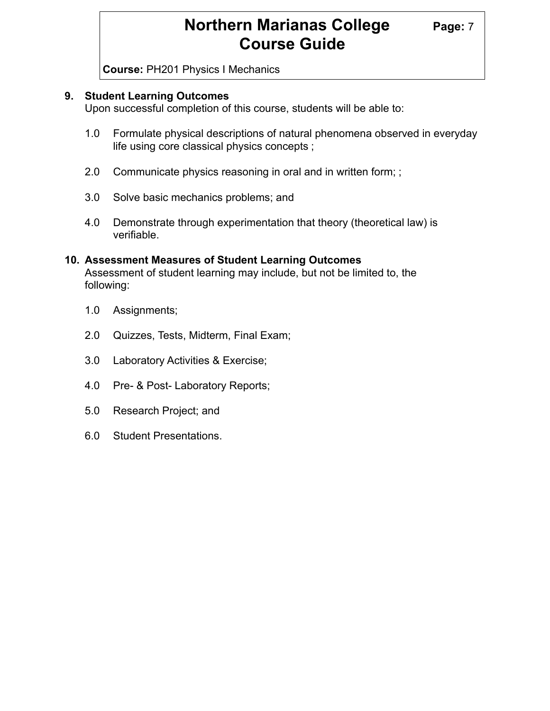# **Northern Marianas College Page: 7 Course Guide**

**Course:** PH201 Physics I Mechanics

#### **9. Student Learning Outcomes**

Upon successful completion of this course, students will be able to:

- 1.0 Formulate physical descriptions of natural phenomena observed in everyday life using core classical physics concepts ;
- 2.0 Communicate physics reasoning in oral and in written form; ;
- 3.0 Solve basic mechanics problems; and
- 4.0 Demonstrate through experimentation that theory (theoretical law) is verifiable.

#### **10. Assessment Measures of Student Learning Outcomes** Assessment of student learning may include, but not be limited to, the following:

- 1.0 Assignments;
- 2.0 Quizzes, Tests, Midterm, Final Exam;
- 3.0 Laboratory Activities & Exercise;
- 4.0 Pre- & Post- Laboratory Reports;
- 5.0 Research Project; and
- 6.0 Student Presentations.